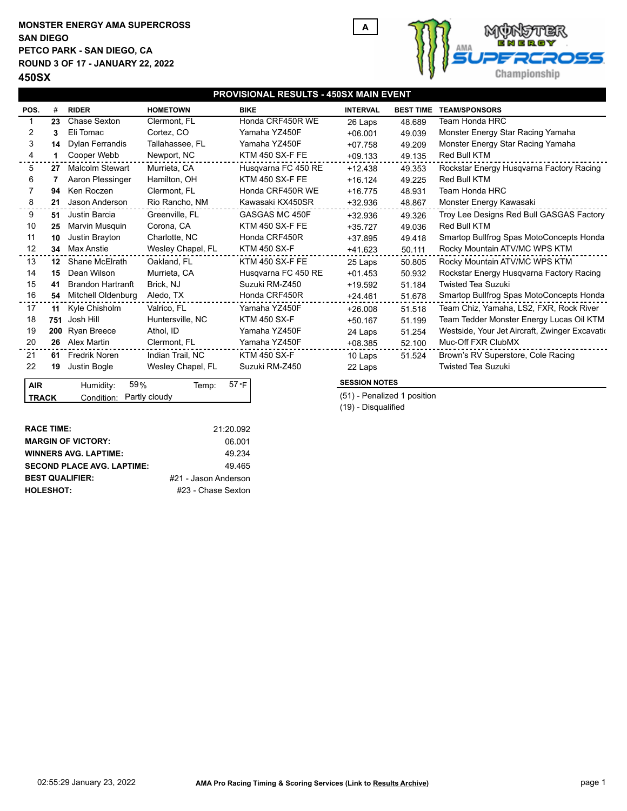## **MONSTER ENERGY AMA SUPERCROSS PETCO PARK - SAN DIEGO, CA ROUND 3 OF 17 - JANUARY 22, 2022 450SX SAN DIEGO**



| PROVISIONAL RESULTS - 450SX MAIN EVENT  |                  |                             |                   |                        |                             |                                     |                                                 |  |  |  |  |
|-----------------------------------------|------------------|-----------------------------|-------------------|------------------------|-----------------------------|-------------------------------------|-------------------------------------------------|--|--|--|--|
| POS.                                    | #                | <b>RIDER</b>                | <b>HOMETOWN</b>   | <b>BIKE</b>            | <b>INTERVAL</b>             | <b>BEST TIME</b>                    | <b>TEAM/SPONSORS</b>                            |  |  |  |  |
|                                         | 23               | Chase Sexton                | Clermont, FL      | Honda CRF450R WE       | 26 Laps                     | 48.689                              | Team Honda HRC                                  |  |  |  |  |
| 2                                       | 3                | Eli Tomac                   | Cortez, CO        | Yamaha YZ450F          | $+06.001$                   | 49.039                              | Monster Energy Star Racing Yamaha               |  |  |  |  |
| 3                                       | 14               | <b>Dylan Ferrandis</b>      | Tallahassee, FL   | Yamaha YZ450F          | $+07.758$                   | 49.209                              | Monster Energy Star Racing Yamaha               |  |  |  |  |
| 4                                       |                  | Cooper Webb                 | Newport, NC       | KTM 450 SX-F FE        | $+09.133$                   | 49.135                              | Red Bull KTM                                    |  |  |  |  |
| 5                                       | 27               | <b>Malcolm Stewart</b>      | Murrieta, CA      | Husgvarna FC 450 RE    | $+12.438$                   | 49.353                              | Rockstar Energy Husqvarna Factory Racing        |  |  |  |  |
| 6                                       |                  | Aaron Plessinger            | Hamilton, OH      | <b>KTM 450 SX-F FE</b> | $+16.124$                   | 49.225                              | Red Bull KTM                                    |  |  |  |  |
|                                         | 94               | Ken Roczen                  | Clermont, FL      | Honda CRF450R WE       | $+16.775$                   | 48.931                              | <b>Team Honda HRC</b>                           |  |  |  |  |
| 8                                       | 21               | Jason Anderson              | Rio Rancho, NM    | Kawasaki KX450SR       | $+32.936$                   | 48.867                              | Monster Energy Kawasaki                         |  |  |  |  |
| 9                                       | 51               | Justin Barcia               | Greenville, FL    | GASGAS MC 450F         | $+32.936$                   | 49.326                              | Troy Lee Designs Red Bull GASGAS Factory        |  |  |  |  |
| 10                                      | 25               | Marvin Musquin              | Corona, CA        | <b>KTM 450 SX-F FE</b> | $+35.727$                   | 49.036                              | <b>Red Bull KTM</b>                             |  |  |  |  |
| 11                                      | 10               | Justin Brayton              | Charlotte, NC     | Honda CRF450R          | $+37.895$                   | 49.418                              | Smartop Bullfrog Spas MotoConcepts Honda        |  |  |  |  |
| 12                                      | 34               | Max Anstie                  | Wesley Chapel, FL | <b>KTM 450 SX-F</b>    | +41.623                     | 50.111                              | Rocky Mountain ATV/MC WPS KTM                   |  |  |  |  |
| 13                                      | 12 <sup>12</sup> | Shane McElrath              | Oakland, FL       | <b>KTM 450 SX-F FE</b> | 25 Laps                     | 50.805                              | Rocky Mountain ATV/MC WPS KTM                   |  |  |  |  |
| 14                                      | 15               | Dean Wilson                 | Murrieta, CA      | Husgvarna FC 450 RE    | $+01.453$                   | 50.932                              | Rockstar Energy Husqvarna Factory Racing        |  |  |  |  |
| 15                                      | 41               | <b>Brandon Hartranft</b>    | Brick, NJ         | Suzuki RM-Z450         | $+19.592$                   | <b>Twisted Tea Suzuki</b><br>51.184 |                                                 |  |  |  |  |
| 16                                      | 54               | Mitchell Oldenburg          | Aledo, TX         | Honda CRF450R          | $+24.461$                   | 51.678                              | Smartop Bullfrog Spas MotoConcepts Honda        |  |  |  |  |
| 17                                      | 11               | Kyle Chisholm               | Valrico, FL       | Yamaha YZ450F          | $+26.008$                   | 51.518                              | Team Chiz, Yamaha, LS2, FXR, Rock River         |  |  |  |  |
| 18                                      | 751              | Josh Hill                   | Huntersville, NC  | <b>KTM 450 SX-F</b>    | $+50.167$                   | 51.199                              | Team Tedder Monster Energy Lucas Oil KTM        |  |  |  |  |
| 19                                      | 200              | <b>Ryan Breece</b>          | Athol, ID         | Yamaha YZ450F          | 24 Laps                     | 51.254                              | Westside, Your Jet Aircraft, Zwinger Excavation |  |  |  |  |
| 20                                      |                  | 26 Alex Martin              | Clermont, FL      | Yamaha YZ450F          | $+08.385$                   | 52.100                              | Muc-Off FXR ClubMX                              |  |  |  |  |
| 21                                      | 61               | Fredrik Noren               | Indian Trail, NC  | <b>KTM 450 SX-F</b>    | 10 Laps                     | 51.524                              | Brown's RV Superstore, Cole Racing              |  |  |  |  |
| 22                                      | 19               | Justin Bogle                | Wesley Chapel, FL | Suzuki RM-Z450         | 22 Laps                     |                                     | <b>Twisted Tea Suzuki</b>                       |  |  |  |  |
| 59%<br><b>AIR</b><br>Humidity:<br>Temp: |                  |                             |                   | 57 °F                  | <b>SESSION NOTES</b>        |                                     |                                                 |  |  |  |  |
| <b>TRACK</b>                            |                  | Partly cloudy<br>Condition: |                   |                        | (51) - Penalized 1 position |                                     |                                                 |  |  |  |  |

| <b>RACE TIME:</b>                 | 21:20.092            |
|-----------------------------------|----------------------|
| <b>MARGIN OF VICTORY:</b>         | 06.001               |
| <b>WINNERS AVG. LAPTIME:</b>      | 49 234               |
| <b>SECOND PLACE AVG. LAPTIME:</b> | 49465                |
| <b>BEST QUALIFIER:</b>            | #21 - Jason Anderson |
| <b>HOLESHOT:</b>                  | #23 - Chase Sexton   |
|                                   |                      |

(19) - Disqualified